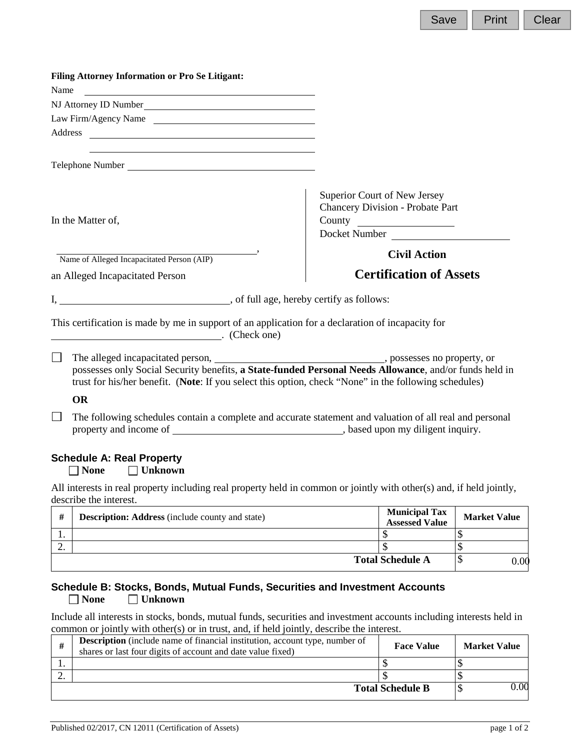| <b>Filing Attorney Information or Pro Se Litigant:</b>                                                           |                                                                                                          |
|------------------------------------------------------------------------------------------------------------------|----------------------------------------------------------------------------------------------------------|
| Name<br><u> 1989 - Andrea Station, amerikan bizko eta politikaria (h. 1989).</u>                                 |                                                                                                          |
| NJ Attorney ID Number                                                                                            |                                                                                                          |
| Law Firm/Agency Name                                                                                             |                                                                                                          |
|                                                                                                                  |                                                                                                          |
| Telephone Number                                                                                                 |                                                                                                          |
| In the Matter of,                                                                                                | Superior Court of New Jersey<br><b>Chancery Division - Probate Part</b><br>Docket Number                 |
| Name of Alleged Incapacitated Person (AIP)                                                                       | <b>Civil Action</b>                                                                                      |
| an Alleged Incapacitated Person                                                                                  | <b>Certification of Assets</b>                                                                           |
|                                                                                                                  |                                                                                                          |
| This certification is made by me in support of an application for a declaration of incapacity for<br>Check one)  |                                                                                                          |
| $\perp$<br>trust for his/her benefit. (Note: If you select this option, check "None" in the following schedules) | possesses only Social Security benefits, a State-funded Personal Needs Allowance, and/or funds held in   |
| <b>OR</b>                                                                                                        |                                                                                                          |
|                                                                                                                  | The following schedules contain a complete and accurate statement and valuation of all real and personal |
| <b>Schedule A: Real Property</b><br><b>None</b><br>$\Box$ Unknown                                                |                                                                                                          |

All interests in real property including real property held in common or jointly with other(s) and, if held jointly, describe the interest.

| #   | <b>Description: Address</b> (include county and state) | <b>Municipal Tax</b><br><b>Assessed Value</b> | <b>Market Value</b> |
|-----|--------------------------------------------------------|-----------------------------------------------|---------------------|
| . . |                                                        |                                               |                     |
| ٠.  |                                                        |                                               |                     |
|     |                                                        | <b>Total Schedule A</b>                       | 0.00                |

# **Schedule B: Stocks, Bonds, Mutual Funds, Securities and Investment Accounts**<br> **□ None** □ Unknown ■ **Unknown**

Include all interests in stocks, bonds, mutual funds, securities and investment accounts including interests held in common or jointly with other(s) or in trust, and, if held jointly, describe the interest.

| # | <b>Description</b> (include name of financial institution, account type, number of<br>shares or last four digits of account and date value fixed) | <b>Face Value</b>       | <b>Market Value</b> |
|---|---------------------------------------------------------------------------------------------------------------------------------------------------|-------------------------|---------------------|
|   |                                                                                                                                                   |                         |                     |
|   |                                                                                                                                                   |                         |                     |
|   |                                                                                                                                                   | <b>Total Schedule B</b> | 0.00                |